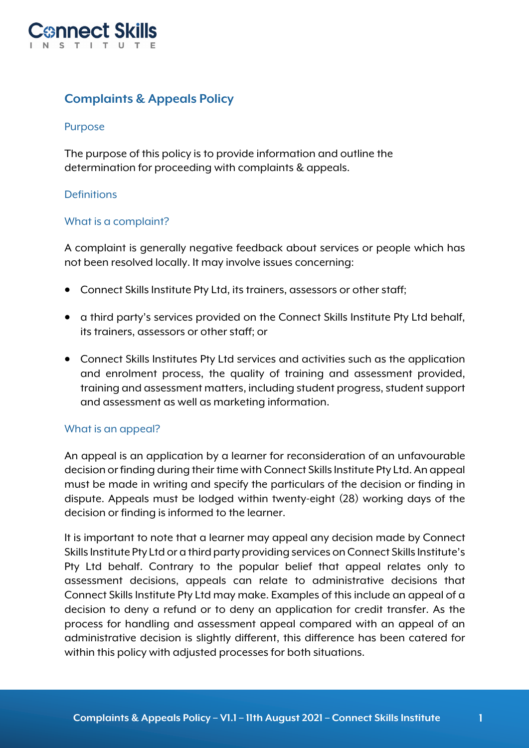

# **Complaints & Appeals Policy**

### Purpose

The purpose of this policy is to provide information and outline the determination for proceeding with complaints & appeals.

### **Definitions**

#### What is a complaint?

A complaint is generally negative feedback about services or people which has not been resolved locally. It may involve issues concerning:

- Connect Skills Institute Pty Ltd, its trainers, assessors or other staff;
- a third party's services provided on the Connect Skills Institute Pty Ltd behalf, its trainers, assessors or other staff; or
- Connect Skills Institutes Pty Ltd services and activities such as the application and enrolment process, the quality of training and assessment provided, training and assessment matters, including student progress, student support and assessment as well as marketing information.

#### What is an appeal?

An appeal is an application by a learner for reconsideration of an unfavourable decision or finding during their time with Connect Skills Institute Pty Ltd. An appeal must be made in writing and specify the particulars of the decision or finding in dispute. Appeals must be lodged within twenty-eight (28) working days of the decision or finding is informed to the learner.

It is important to note that a learner may appeal any decision made by Connect Skills Institute Pty Ltd or a third party providing services on Connect Skills Institute's Pty Ltd behalf. Contrary to the popular belief that appeal relates only to assessment decisions, appeals can relate to administrative decisions that Connect Skills Institute Pty Ltd may make. Examples of this include an appeal of a decision to deny a refund or to deny an application for credit transfer. As the process for handling and assessment appeal compared with an appeal of an administrative decision is slightly different, this difference has been catered for within this policy with adjusted processes for both situations.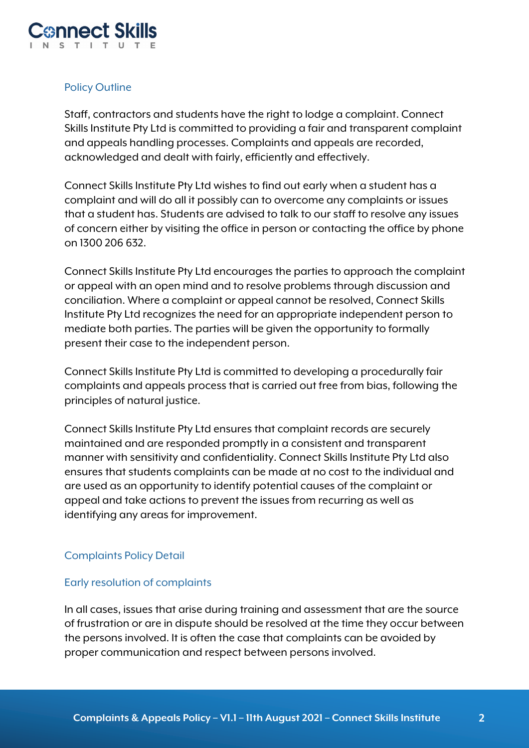

# Policy Outline

Staff, contractors and students have the right to lodge a complaint. Connect Skills Institute Pty Ltd is committed to providing a fair and transparent complaint and appeals handling processes. Complaints and appeals are recorded, acknowledged and dealt with fairly, efficiently and effectively.

Connect Skills Institute Pty Ltd wishes to find out early when a student has a complaint and will do all it possibly can to overcome any complaints or issues that a student has. Students are advised to talk to our staff to resolve any issues of concern either by visiting the office in person or contacting the office by phone on 1300 206 632.

Connect Skills Institute Pty Ltd encourages the parties to approach the complaint or appeal with an open mind and to resolve problems through discussion and conciliation. Where a complaint or appeal cannot be resolved, Connect Skills Institute Pty Ltd recognizes the need for an appropriate independent person to mediate both parties. The parties will be given the opportunity to formally present their case to the independent person.

Connect Skills Institute Pty Ltd is committed to developing a procedurally fair complaints and appeals process that is carried out free from bias, following the principles of natural justice.

Connect Skills Institute Pty Ltd ensures that complaint records are securely maintained and are responded promptly in a consistent and transparent manner with sensitivity and confidentiality. Connect Skills Institute Pty Ltd also ensures that students complaints can be made at no cost to the individual and are used as an opportunity to identify potential causes of the complaint or appeal and take actions to prevent the issues from recurring as well as identifying any areas for improvement.

# Complaints Policy Detail

# Early resolution of complaints

In all cases, issues that arise during training and assessment that are the source of frustration or are in dispute should be resolved at the time they occur between the persons involved. It is often the case that complaints can be avoided by proper communication and respect between persons involved.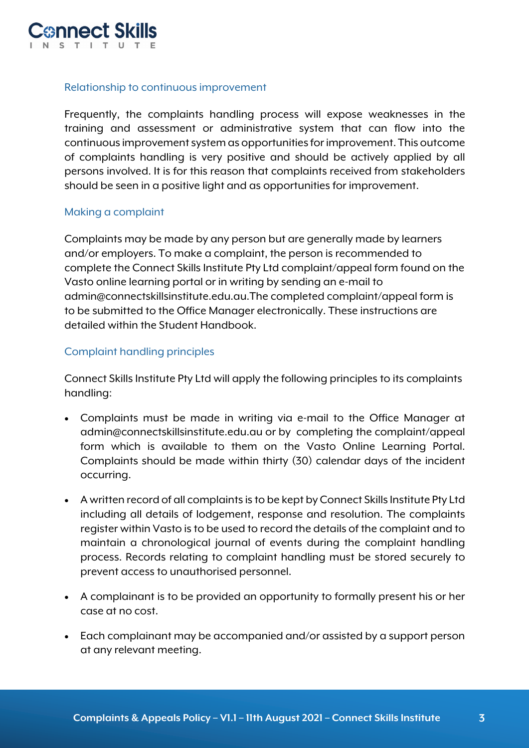

# Relationship to continuous improvement

Frequently, the complaints handling process will expose weaknesses in the training and assessment or administrative system that can flow into the continuous improvement system as opportunities for improvement. This outcome of complaints handling is very positive and should be actively applied by all persons involved. It is for this reason that complaints received from stakeholders should be seen in a positive light and as opportunities for improvement.

#### Making a complaint

Complaints may be made by any person but are generally made by learners and/or employers. To make a complaint, the person is recommended to complete the Connect Skills Institute Pty Ltd complaint/appeal form found on the Vasto online learning portal or in writing by sending an e-mail to admin@connectskillsinstitute.edu.au.The completed complaint/appeal form is to be submitted to the Office Manager electronically. These instructions are detailed within the Student Handbook.

### Complaint handling principles

Connect Skills Institute Pty Ltd will apply the following principles to its complaints handling:

- Complaints must be made in writing via e-mail to the Office Manager at admin@connectskillsinstitute.edu.au or by completing the complaint/appeal form which is available to them on the Vasto Online Learning Portal. Complaints should be made within thirty (30) calendar days of the incident occurring.
- A written record of all complaints is to be kept by Connect Skills Institute Pty Ltd including all details of lodgement, response and resolution. The complaints register within Vasto is to be used to record the details of the complaint and to maintain a chronological journal of events during the complaint handling process. Records relating to complaint handling must be stored securely to prevent access to unauthorised personnel.
- A complainant is to be provided an opportunity to formally present his or her case at no cost.
- Each complainant may be accompanied and/or assisted by a support person at any relevant meeting.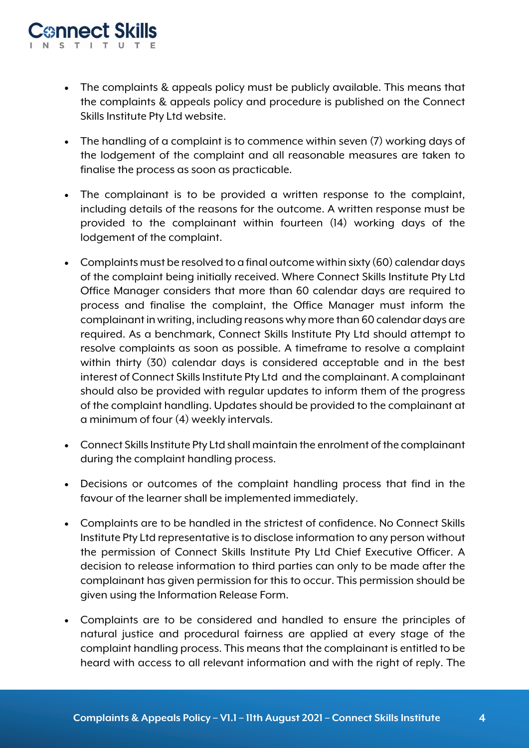- The complaints & appeals policy must be publicly available. This means that the complaints & appeals policy and procedure is published on the Connect Skills Institute Pty Ltd website.
- The handling of a complaint is to commence within seven (7) working days of the lodgement of the complaint and all reasonable measures are taken to finalise the process as soon as practicable.
- The complainant is to be provided a written response to the complaint, including details of the reasons for the outcome. A written response must be provided to the complainant within fourteen (14) working days of the lodgement of the complaint.
- Complaints must be resolved to a final outcome within sixty (60) calendar days of the complaint being initially received. Where Connect Skills Institute Pty Ltd Office Manager considers that more than 60 calendar days are required to process and finalise the complaint, the Office Manager must inform the complainant in writing, including reasons why more than 60 calendar days are required. As a benchmark, Connect Skills Institute Pty Ltd should attempt to resolve complaints as soon as possible. A timeframe to resolve a complaint within thirty (30) calendar days is considered acceptable and in the best interest of Connect Skills Institute Pty Ltd and the complainant. A complainant should also be provided with regular updates to inform them of the progress of the complaint handling. Updates should be provided to the complainant at a minimum of four (4) weekly intervals.
- Connect Skills Institute Pty Ltd shall maintain the enrolment of the complainant during the complaint handling process.
- Decisions or outcomes of the complaint handling process that find in the favour of the learner shall be implemented immediately.
- Complaints are to be handled in the strictest of confidence. No Connect Skills Institute Pty Ltd representative is to disclose information to any person without the permission of Connect Skills Institute Pty Ltd Chief Executive Officer. A decision to release information to third parties can only to be made after the complainant has given permission for this to occur. This permission should be given using the Information Release Form.
- Complaints are to be considered and handled to ensure the principles of natural justice and procedural fairness are applied at every stage of the complaint handling process. This means that the complainant is entitled to be heard with access to all relevant information and with the right of reply. The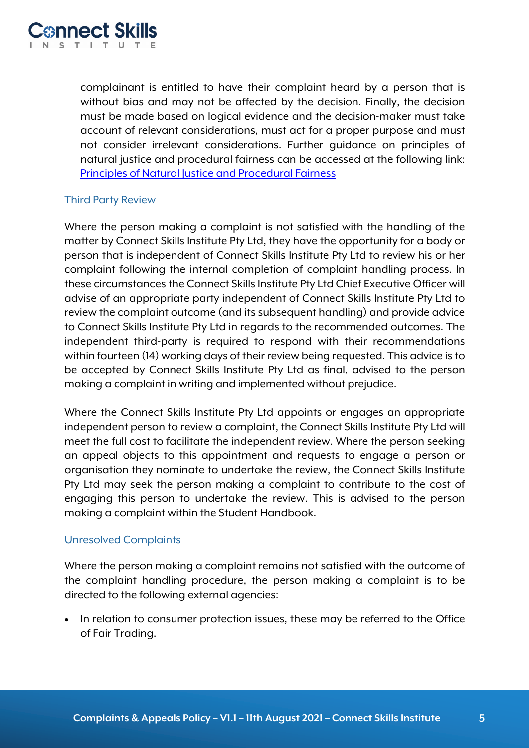

complainant is entitled to have their complaint heard by a person that is without bias and may not be affected by the decision. Finally, the decision must be made based on logical evidence and the decision-maker must take account of relevant considerations, must act for a proper purpose and must not consider irrelevant considerations. Further guidance on principles of natural justice and procedural fairness can be accessed at the following link: Principles of Natural Justice and Procedural Fairness

# Third Party Review

Where the person making a complaint is not satisfied with the handling of the matter by Connect Skills Institute Pty Ltd, they have the opportunity for a body or person that is independent of Connect Skills Institute Pty Ltd to review his or her complaint following the internal completion of complaint handling process. In these circumstances the Connect Skills Institute Pty Ltd Chief Executive Officer will advise of an appropriate party independent of Connect Skills Institute Pty Ltd to review the complaint outcome (and its subsequent handling) and provide advice to Connect Skills Institute Pty Ltd in regards to the recommended outcomes. The independent third-party is required to respond with their recommendations within fourteen (14) working days of their review being requested. This advice is to be accepted by Connect Skills Institute Pty Ltd as final, advised to the person making a complaint in writing and implemented without prejudice.

Where the Connect Skills Institute Pty Ltd appoints or engages an appropriate independent person to review a complaint, the Connect Skills Institute Pty Ltd will meet the full cost to facilitate the independent review. Where the person seeking an appeal objects to this appointment and requests to engage a person or organisation they nominate to undertake the review, the Connect Skills Institute Pty Ltd may seek the person making a complaint to contribute to the cost of engaging this person to undertake the review. This is advised to the person making a complaint within the Student Handbook.

# Unresolved Complaints

Where the person making a complaint remains not satisfied with the outcome of the complaint handling procedure, the person making a complaint is to be directed to the following external agencies:

• In relation to consumer protection issues, these may be referred to the Office of Fair Trading.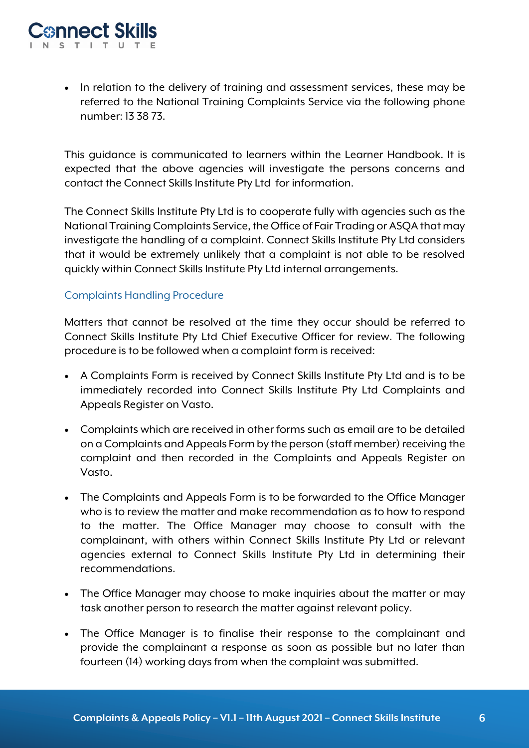• In relation to the delivery of training and assessment services, these may be referred to the National Training Complaints Service via the following phone number: 13 38 73.

This guidance is communicated to learners within the Learner Handbook. It is expected that the above agencies will investigate the persons concerns and contact the Connect Skills Institute Pty Ltd for information.

The Connect Skills Institute Pty Ltd is to cooperate fully with agencies such as the National Training Complaints Service, the Office of Fair Trading or ASQA that may investigate the handling of a complaint. Connect Skills Institute Pty Ltd considers that it would be extremely unlikely that a complaint is not able to be resolved quickly within Connect Skills Institute Pty Ltd internal arrangements.

# Complaints Handling Procedure

Matters that cannot be resolved at the time they occur should be referred to Connect Skills Institute Pty Ltd Chief Executive Officer for review. The following procedure is to be followed when a complaint form is received:

- A Complaints Form is received by Connect Skills Institute Pty Ltd and is to be immediately recorded into Connect Skills Institute Pty Ltd Complaints and Appeals Register on Vasto.
- Complaints which are received in other forms such as email are to be detailed on a Complaints and Appeals Form by the person (staff member) receiving the complaint and then recorded in the Complaints and Appeals Register on Vasto.
- The Complaints and Appeals Form is to be forwarded to the Office Manager who is to review the matter and make recommendation as to how to respond to the matter. The Office Manager may choose to consult with the complainant, with others within Connect Skills Institute Pty Ltd or relevant agencies external to Connect Skills Institute Pty Ltd in determining their recommendations.
- The Office Manager may choose to make inquiries about the matter or may task another person to research the matter against relevant policy.
- The Office Manager is to finalise their response to the complainant and provide the complainant a response as soon as possible but no later than fourteen (14) working days from when the complaint was submitted.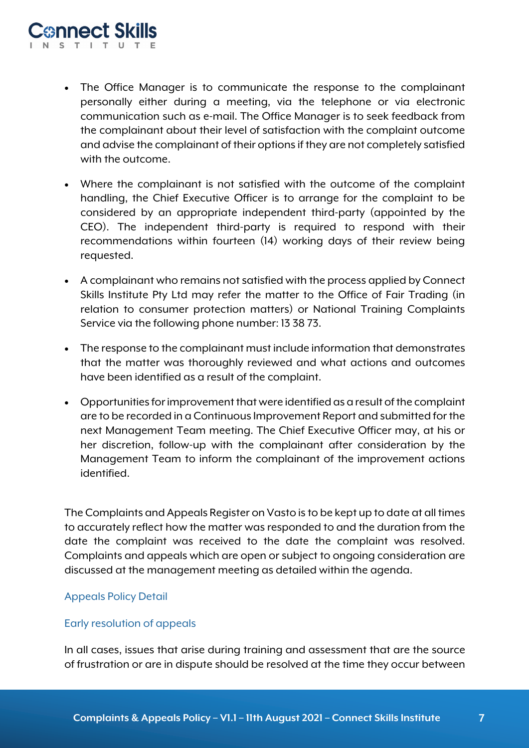- The Office Manager is to communicate the response to the complainant personally either during a meeting, via the telephone or via electronic communication such as e-mail. The Office Manager is to seek feedback from the complainant about their level of satisfaction with the complaint outcome and advise the complainant of their options if they are not completely satisfied with the outcome.
- Where the complainant is not satisfied with the outcome of the complaint handling, the Chief Executive Officer is to arrange for the complaint to be considered by an appropriate independent third-party (appointed by the CEO). The independent third-party is required to respond with their recommendations within fourteen (14) working days of their review being requested.
- A complainant who remains not satisfied with the process applied by Connect Skills Institute Pty Ltd may refer the matter to the Office of Fair Trading (in relation to consumer protection matters) or National Training Complaints Service via the following phone number: 13 38 73.
- The response to the complainant must include information that demonstrates that the matter was thoroughly reviewed and what actions and outcomes have been identified as a result of the complaint.
- Opportunities for improvement that were identified as a result of the complaint are to be recorded in a Continuous Improvement Report and submitted for the next Management Team meeting. The Chief Executive Officer may, at his or her discretion, follow-up with the complainant after consideration by the Management Team to inform the complainant of the improvement actions identified.

The Complaints and Appeals Register on Vasto is to be kept up to date at all times to accurately reflect how the matter was responded to and the duration from the date the complaint was received to the date the complaint was resolved. Complaints and appeals which are open or subject to ongoing consideration are discussed at the management meeting as detailed within the agenda.

# Appeals Policy Detail

# Early resolution of appeals

In all cases, issues that arise during training and assessment that are the source of frustration or are in dispute should be resolved at the time they occur between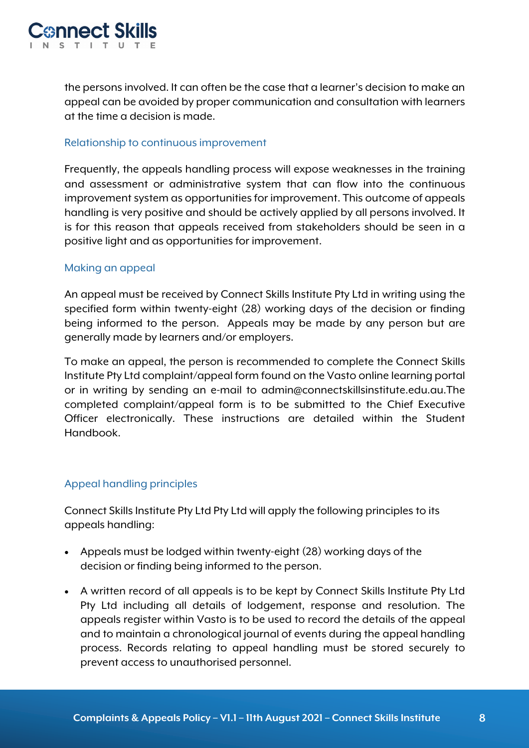

the persons involved. It can often be the case that a learner's decision to make an appeal can be avoided by proper communication and consultation with learners at the time a decision is made.

### Relationship to continuous improvement

Frequently, the appeals handling process will expose weaknesses in the training and assessment or administrative system that can flow into the continuous improvement system as opportunities for improvement. This outcome of appeals handling is very positive and should be actively applied by all persons involved. It is for this reason that appeals received from stakeholders should be seen in a positive light and as opportunities for improvement.

### Making an appeal

An appeal must be received by Connect Skills Institute Pty Ltd in writing using the specified form within twenty-eight (28) working days of the decision or finding being informed to the person. Appeals may be made by any person but are generally made by learners and/or employers.

To make an appeal, the person is recommended to complete the Connect Skills Institute Pty Ltd complaint/appeal form found on the Vasto online learning portal or in writing by sending an e-mail to admin@connectskillsinstitute.edu.au.The completed complaint/appeal form is to be submitted to the Chief Executive Officer electronically. These instructions are detailed within the Student Handbook.

# Appeal handling principles

Connect Skills Institute Pty Ltd Pty Ltd will apply the following principles to its appeals handling:

- Appeals must be lodged within twenty-eight (28) working days of the decision or finding being informed to the person.
- A written record of all appeals is to be kept by Connect Skills Institute Pty Ltd Pty Ltd including all details of lodgement, response and resolution. The appeals register within Vasto is to be used to record the details of the appeal and to maintain a chronological journal of events during the appeal handling process. Records relating to appeal handling must be stored securely to prevent access to unauthorised personnel.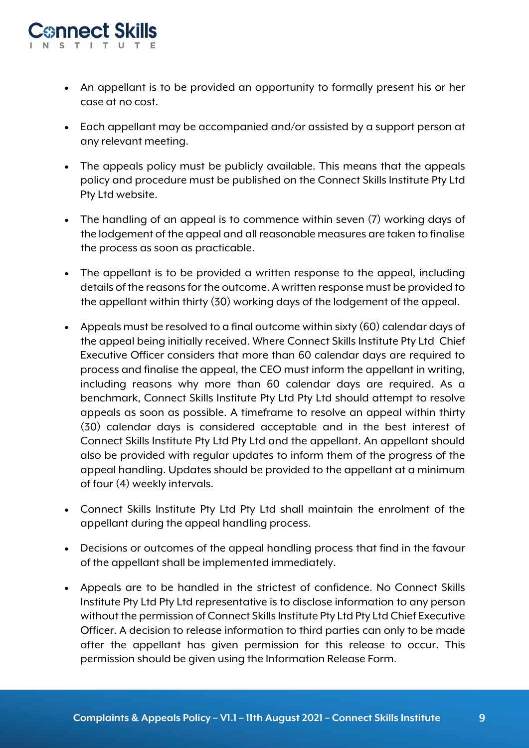

- An appellant is to be provided an opportunity to formally present his or her case at no cost.
- Each appellant may be accompanied and/or assisted by a support person at any relevant meeting.
- The appeals policy must be publicly available. This means that the appeals policy and procedure must be published on the Connect Skills Institute Pty Ltd Pty Ltd website.
- The handling of an appeal is to commence within seven (7) working days of the lodgement of the appeal and all reasonable measures are taken to finalise the process as soon as practicable.
- The appellant is to be provided a written response to the appeal, including details of the reasons for the outcome. A written response must be provided to the appellant within thirty (30) working days of the lodgement of the appeal.
- Appeals must be resolved to a final outcome within sixty (60) calendar days of the appeal being initially received. Where Connect Skills Institute Pty Ltd Chief Executive Officer considers that more than 60 calendar days are required to process and finalise the appeal, the CEO must inform the appellant in writing, including reasons why more than 60 calendar days are required. As a benchmark, Connect Skills Institute Pty Ltd Pty Ltd should attempt to resolve appeals as soon as possible. A timeframe to resolve an appeal within thirty (30) calendar days is considered acceptable and in the best interest of Connect Skills Institute Pty Ltd Pty Ltd and the appellant. An appellant should also be provided with regular updates to inform them of the progress of the appeal handling. Updates should be provided to the appellant at a minimum of four (4) weekly intervals.
- Connect Skills Institute Pty Ltd Pty Ltd shall maintain the enrolment of the appellant during the appeal handling process.
- Decisions or outcomes of the appeal handling process that find in the favour of the appellant shall be implemented immediately.
- Appeals are to be handled in the strictest of confidence. No Connect Skills Institute Pty Ltd Pty Ltd representative is to disclose information to any person without the permission of Connect Skills Institute Pty Ltd Pty Ltd Chief Executive Officer. A decision to release information to third parties can only to be made after the appellant has given permission for this release to occur. This permission should be given using the Information Release Form.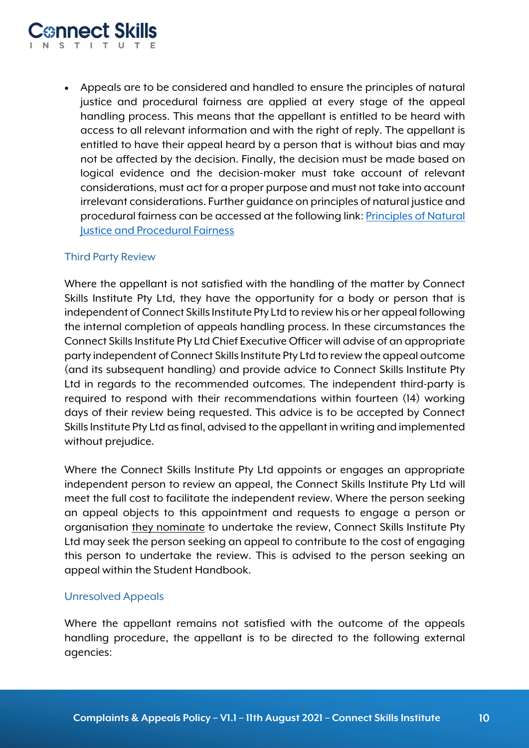

• Appeals are to be considered and handled to ensure the principles of natural justice and procedural fairness are applied at every stage of the appeal handling process. This means that the appellant is entitled to be heard with access to all relevant information and with the right of reply. The appellant is entitled to have their appeal heard by a person that is without bias and may not be affected by the decision. Finally, the decision must be made based on logical evidence and the decision-maker must take account of relevant considerations, must act for a proper purpose and must not take into account irrelevant considerations. Further guidance on principles of natural justice and procedural fairness can be accessed at the following link: Principles of Natural **Justice and Procedural Fairness** 

### Third Party Review

Where the appellant is not satisfied with the handling of the matter by Connect Skills Institute Pty Ltd, they have the opportunity for a body or person that is independent of Connect Skills Institute Pty Ltd to review his or her appeal following the internal completion of appeals handling process. In these circumstances the Connect Skills Institute Pty Ltd Chief Executive Officer will advise of an appropriate party independent of Connect Skills Institute Pty Ltd to review the appeal outcome (and its subsequent handling) and provide advice to Connect Skills Institute Pty Ltd in regards to the recommended outcomes. The independent third-party is required to respond with their recommendations within fourteen (14) working days of their review being requested. This advice is to be accepted by Connect Skills Institute Pty Ltd as final, advised to the appellant in writing and implemented without prejudice.

Where the Connect Skills Institute Pty Ltd appoints or engages an appropriate independent person to review an appeal, the Connect Skills Institute Pty Ltd will meet the full cost to facilitate the independent review. Where the person seeking an appeal objects to this appointment and requests to engage a person or organisation they nominate to undertake the review, Connect Skills Institute Pty Ltd may seek the person seeking an appeal to contribute to the cost of engaging this person to undertake the review. This is advised to the person seeking an appeal within the Student Handbook.

# Unresolved Appeals

Where the appellant remains not satisfied with the outcome of the appeals handling procedure, the appellant is to be directed to the following external agencies: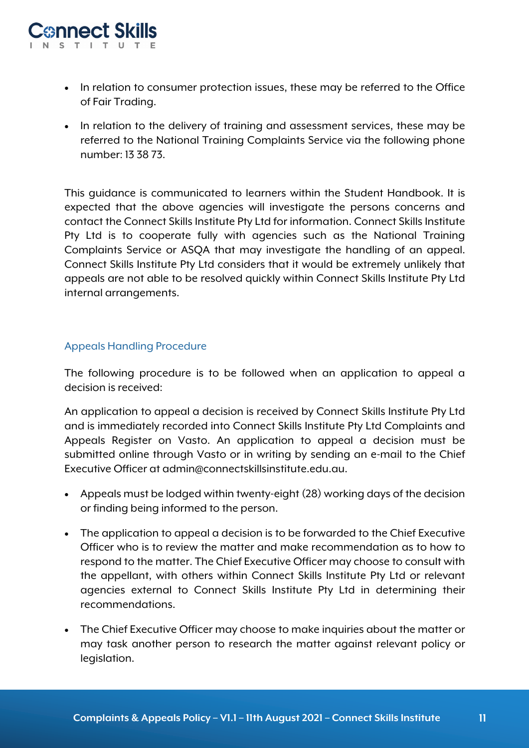

- In relation to consumer protection issues, these may be referred to the Office of Fair Trading.
- In relation to the delivery of training and assessment services, these may be referred to the National Training Complaints Service via the following phone number: 13 38 73.

This guidance is communicated to learners within the Student Handbook. It is expected that the above agencies will investigate the persons concerns and contact the Connect Skills Institute Pty Ltd for information. Connect Skills Institute Pty Ltd is to cooperate fully with agencies such as the National Training Complaints Service or ASQA that may investigate the handling of an appeal. Connect Skills Institute Pty Ltd considers that it would be extremely unlikely that appeals are not able to be resolved quickly within Connect Skills Institute Pty Ltd internal arrangements.

# Appeals Handling Procedure

The following procedure is to be followed when an application to appeal a decision is received:

An application to appeal a decision is received by Connect Skills Institute Pty Ltd and is immediately recorded into Connect Skills Institute Pty Ltd Complaints and Appeals Register on Vasto. An application to appeal a decision must be submitted online through Vasto or in writing by sending an e-mail to the Chief Executive Officer at admin@connectskillsinstitute.edu.au.

- Appeals must be lodged within twenty-eight (28) working days of the decision or finding being informed to the person.
- The application to appeal a decision is to be forwarded to the Chief Executive Officer who is to review the matter and make recommendation as to how to respond to the matter. The Chief Executive Officer may choose to consult with the appellant, with others within Connect Skills Institute Pty Ltd or relevant agencies external to Connect Skills Institute Pty Ltd in determining their recommendations.
- The Chief Executive Officer may choose to make inquiries about the matter or may task another person to research the matter against relevant policy or legislation.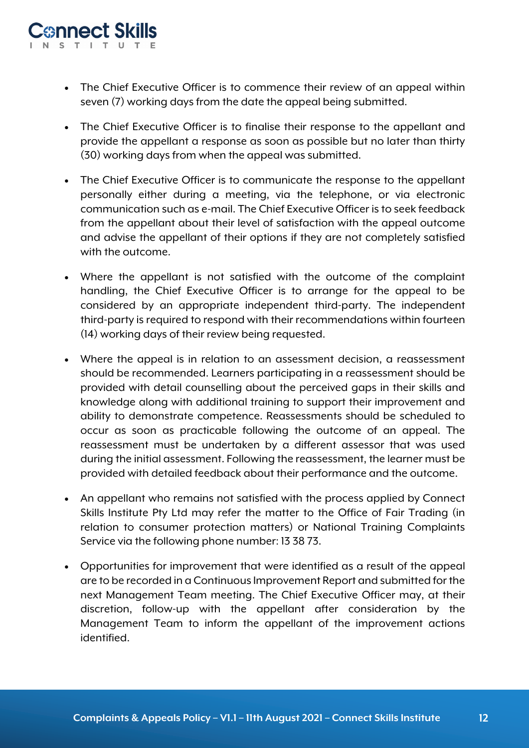- The Chief Executive Officer is to commence their review of an appeal within seven (7) working days from the date the appeal being submitted.
- The Chief Executive Officer is to finalise their response to the appellant and provide the appellant a response as soon as possible but no later than thirty (30) working days from when the appeal was submitted.
- The Chief Executive Officer is to communicate the response to the appellant personally either during a meeting, via the telephone, or via electronic communication such as e-mail. The Chief Executive Officer is to seek feedback from the appellant about their level of satisfaction with the appeal outcome and advise the appellant of their options if they are not completely satisfied with the outcome.
- Where the appellant is not satisfied with the outcome of the complaint handling, the Chief Executive Officer is to arrange for the appeal to be considered by an appropriate independent third-party. The independent third-party is required to respond with their recommendations within fourteen (14) working days of their review being requested.
- Where the appeal is in relation to an assessment decision, a reassessment should be recommended. Learners participating in a reassessment should be provided with detail counselling about the perceived gaps in their skills and knowledge along with additional training to support their improvement and ability to demonstrate competence. Reassessments should be scheduled to occur as soon as practicable following the outcome of an appeal. The reassessment must be undertaken by a different assessor that was used during the initial assessment. Following the reassessment, the learner must be provided with detailed feedback about their performance and the outcome.
- An appellant who remains not satisfied with the process applied by Connect Skills Institute Pty Ltd may refer the matter to the Office of Fair Trading (in relation to consumer protection matters) or National Training Complaints Service via the following phone number: 13 38 73.
- Opportunities for improvement that were identified as a result of the appeal are to be recorded in a Continuous Improvement Report and submitted for the next Management Team meeting. The Chief Executive Officer may, at their discretion, follow-up with the appellant after consideration by the Management Team to inform the appellant of the improvement actions identified.